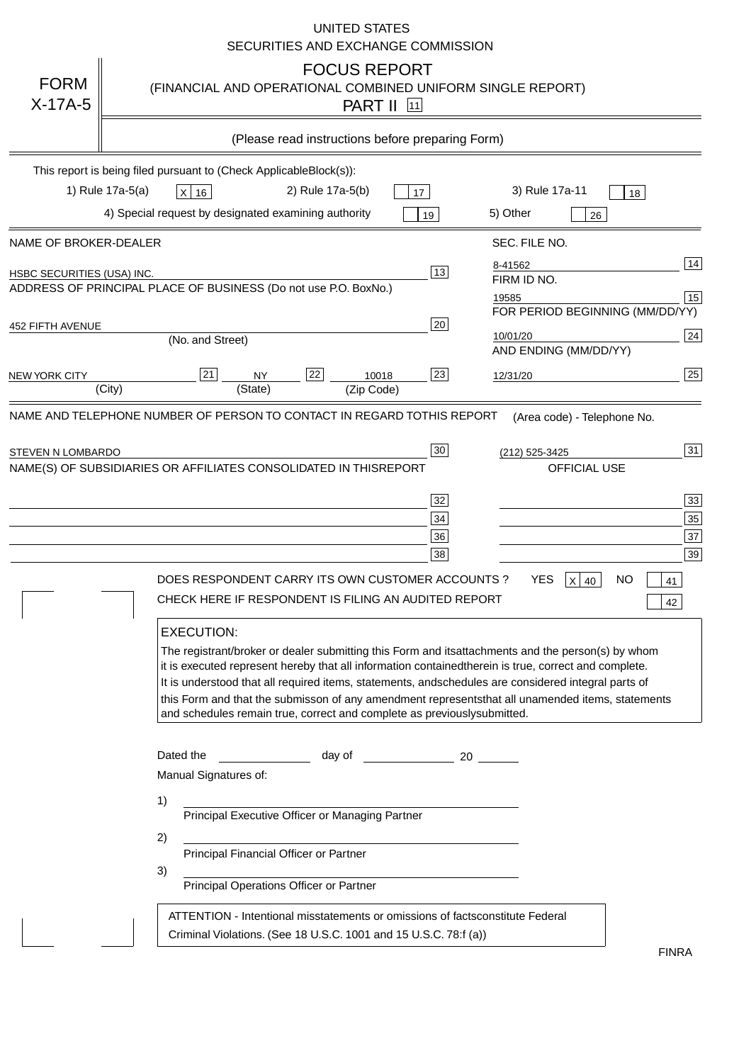|                            | <b>UNITED STATES</b><br>SECURITIES AND EXCHANGE COMMISSION                                                                                                                                                                                                                                                                                                                                                                                                                                                                                                                                                                                                                                                                                                                                                  |
|----------------------------|-------------------------------------------------------------------------------------------------------------------------------------------------------------------------------------------------------------------------------------------------------------------------------------------------------------------------------------------------------------------------------------------------------------------------------------------------------------------------------------------------------------------------------------------------------------------------------------------------------------------------------------------------------------------------------------------------------------------------------------------------------------------------------------------------------------|
| <b>FORM</b><br>$X-17A-5$   | <b>FOCUS REPORT</b><br>(FINANCIAL AND OPERATIONAL COMBINED UNIFORM SINGLE REPORT)<br><b>PART II</b> [11]                                                                                                                                                                                                                                                                                                                                                                                                                                                                                                                                                                                                                                                                                                    |
|                            | (Please read instructions before preparing Form)                                                                                                                                                                                                                                                                                                                                                                                                                                                                                                                                                                                                                                                                                                                                                            |
|                            | This report is being filed pursuant to (Check Applicable<br>$Block(s)$ :<br>1) Rule 17a-5(a)<br>3) Rule 17a-11<br>2) Rule 17a-5(b)<br>$X$ 16<br>17<br>18<br>4) Special request by designated examining authority<br>5) Other<br>19<br>26                                                                                                                                                                                                                                                                                                                                                                                                                                                                                                                                                                    |
| NAME OF BROKER-DEALER      | SEC. FILE NO.                                                                                                                                                                                                                                                                                                                                                                                                                                                                                                                                                                                                                                                                                                                                                                                               |
| HSBC SECURITIES (USA) INC. | 14<br>8-41562<br>13<br>FIRM ID NO.<br>ADDRESS OF PRINCIPAL PLACE OF BUSINESS (Do not use P.O. Box<br>No.)<br>15<br>19585<br>FOR PERIOD BEGINNING (MM/DD/YY)                                                                                                                                                                                                                                                                                                                                                                                                                                                                                                                                                                                                                                                 |
| <b>452 FIFTH AVENUE</b>    | 20<br> 24 <br>10/01/20<br>(No. and Street)<br>AND ENDING (MM/DD/YY)                                                                                                                                                                                                                                                                                                                                                                                                                                                                                                                                                                                                                                                                                                                                         |
| <b>NEW YORK CITY</b>       | 25<br>22<br>21<br>23<br><b>NY</b><br>10018<br>12/31/20<br>(City)<br>(State)<br>(Zip Code)                                                                                                                                                                                                                                                                                                                                                                                                                                                                                                                                                                                                                                                                                                                   |
| STEVEN N LOMBARDO          | 31<br>30<br>(212) 525-3425<br>NAME(S) OF SUBSIDIARIES OR AFFILIATES CONSOLIDATED IN THIS<br><b>REPORT</b><br><b>OFFICIAL USE</b><br>$\overline{33}$<br>32<br>35<br>$34$<br>37<br>36<br>39<br>38<br>$X$ 40<br>DOES RESPONDENT CARRY ITS OWN CUSTOMER ACCOUNTS?<br>YES<br>NO<br>41<br>CHECK HERE IF RESPONDENT IS FILING AN AUDITED REPORT<br>42<br><b>EXECUTION:</b><br>The registrant/broker or dealer submitting this Form and its<br>attachments and the person(s) by whom<br>it is executed represent hereby that all information contained<br>therein is true, correct and complete.<br>It is understood that all required items, statements, and<br>schedules are considered integral parts of<br>this Form and that the submisson of any amendment represents<br>that all unamended items, statements |
|                            | and schedules remain true, correct and complete as previously<br>submitted.<br>Dated the<br>day of<br>20<br>Manual Signatures of:<br>1)<br>Principal Executive Officer or Managing Partner<br>2)<br>Principal Financial Officer or Partner<br>3)<br>Principal Operations Officer or Partner<br>constitute Federal<br>ATTENTION - Intentional misstatements or omissions of facts<br>Criminal Violations. (See 18 U.S.C. 1001 and 15 U.S.C. 78:f (a)<br>$\lambda$                                                                                                                                                                                                                                                                                                                                            |
|                            | <b>FINRA</b>                                                                                                                                                                                                                                                                                                                                                                                                                                                                                                                                                                                                                                                                                                                                                                                                |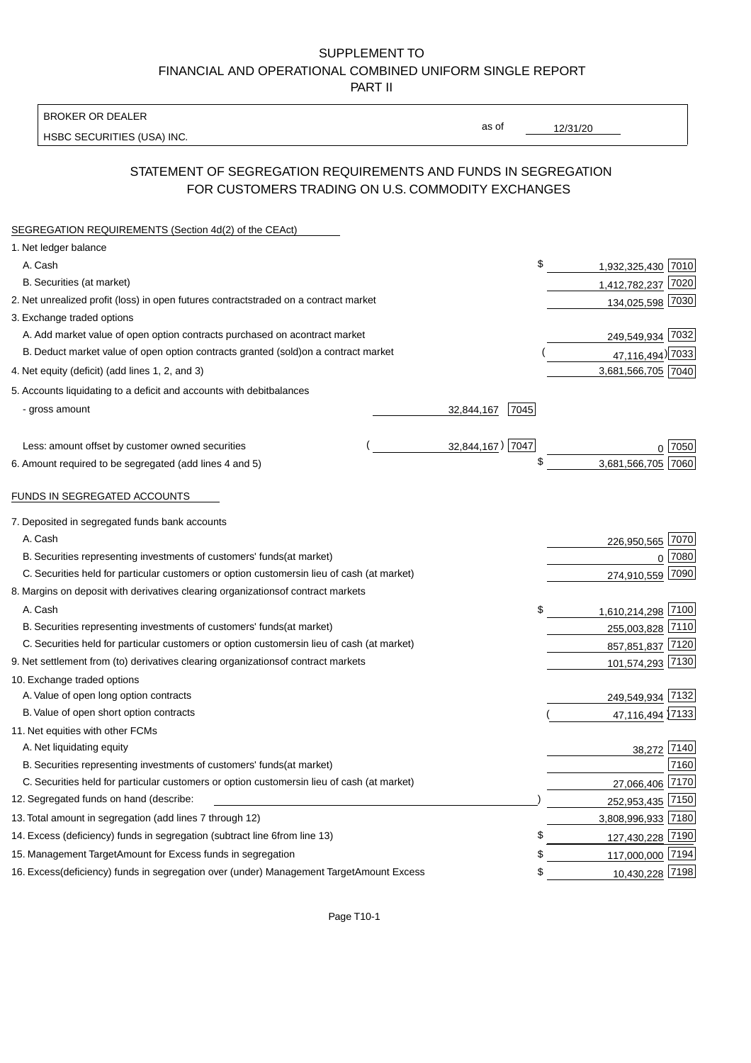BROKER OR DEALER

HSBC SECURITIES (USA) INC.

12/31/20

as of

## STATEMENT OF SEGREGATION REQUIREMENTS AND FUNDS IN SEGREGATION FOR CUSTOMERS TRADING ON U.S. COMMODITY EXCHANGES

| SEGREGATION REQUIREMENTS (Section 4d(2) of the CEAct)                                                                                                                       |                  |      |                                     |        |
|-----------------------------------------------------------------------------------------------------------------------------------------------------------------------------|------------------|------|-------------------------------------|--------|
| 1. Net ledger balance                                                                                                                                                       |                  |      |                                     |        |
| A. Cash                                                                                                                                                                     |                  | \$   | 1,932,325,430 7010                  |        |
| B. Securities (at market)                                                                                                                                                   |                  |      | 1,412,782,237 7020                  |        |
| 2. Net unrealized profit (loss) in open futures contracts<br>traded on a contract market                                                                                    |                  |      | 134,025,598 7030                    |        |
| 3. Exchange traded options                                                                                                                                                  |                  |      |                                     |        |
| A. Add market value of open option contracts purchased on a<br>contract market                                                                                              |                  |      | 249,549,934 7032                    |        |
| B. Deduct market value of open option contracts granted (sold)<br>on a contract market                                                                                      |                  |      | 47,116,494) 7033                    |        |
| 4. Net equity (deficit) (add lines 1, 2, and 3)                                                                                                                             |                  |      | 3,681,566,705 7040                  |        |
| 5. Accounts liquidating to a deficit and accounts with debit<br>balances                                                                                                    |                  |      |                                     |        |
| - gross amount                                                                                                                                                              | 32,844,167       | 7045 |                                     |        |
|                                                                                                                                                                             |                  |      |                                     |        |
| Less: amount offset by customer owned securities                                                                                                                            | 32,844,167) 7047 |      |                                     | ∩ 7050 |
| 6. Amount required to be segregated (add lines 4 and 5)                                                                                                                     |                  | \$   | 3,681,566,705 7060                  |        |
| FUNDS IN SEGREGATED ACCOUNTS                                                                                                                                                |                  |      |                                     |        |
|                                                                                                                                                                             |                  |      |                                     |        |
| 7. Deposited in segregated funds bank accounts                                                                                                                              |                  |      |                                     |        |
| A. Cash                                                                                                                                                                     |                  |      | 226,950,565 7070                    |        |
| B. Securities representing investments of customers' funds<br>(at market)                                                                                                   |                  |      | $\Omega$                            | 7080   |
| C. Securities held for particular customers or option customers<br>in lieu of cash (at market)                                                                              |                  |      | 274,910,559                         | 7090   |
| 8. Margins on deposit with derivatives clearing organizations<br>of contract markets                                                                                        |                  |      |                                     |        |
| A. Cash                                                                                                                                                                     |                  | \$   | 1,610,214,298 7100                  |        |
| B. Securities representing investments of customers' funds<br>(at market)                                                                                                   |                  |      | 255,003,828 7110                    |        |
| C. Securities held for particular customers or option customers<br>in lieu of cash (at market)                                                                              |                  |      | 857,851,837 7120                    |        |
| 9. Net settlement from (to) derivatives clearing organizations<br>of contract markets                                                                                       |                  |      | 101,574,293 7130                    |        |
| 10. Exchange traded options                                                                                                                                                 |                  |      |                                     |        |
| A. Value of open long option contracts                                                                                                                                      |                  |      | 249,549,934 7132                    |        |
| B. Value of open short option contracts                                                                                                                                     |                  |      | 47,116,494 7133                     |        |
| 11. Net equities with other FCMs                                                                                                                                            |                  |      |                                     |        |
| A. Net liquidating equity                                                                                                                                                   |                  |      | 38,272 7140                         | 7160   |
| B. Securities representing investments of customers' funds<br>(at market)<br>C. Securities held for particular customers or option customers<br>in lieu of cash (at market) |                  |      |                                     |        |
| 12. Segregated funds on hand (describe:                                                                                                                                     |                  |      | 27,066,406 7170<br>252,953,435 7150 |        |
| 13. Total amount in segregation (add lines 7 through 12)                                                                                                                    |                  |      | 3,808,996,933 7180                  |        |
|                                                                                                                                                                             |                  | £    |                                     |        |
| 14. Excess (deficiency) funds in segregation (subtract line 6 from line 13)<br>15. Management Target Amount for Excess funds in segregation                                 |                  | \$   | 127,430,228 7190                    |        |
|                                                                                                                                                                             |                  | \$   | 117,000,000 7194                    |        |
| 16. Excess (deficiency) funds in segregation over (under) Management Target Amount Excess                                                                                   |                  |      | 10,430,228 7198                     |        |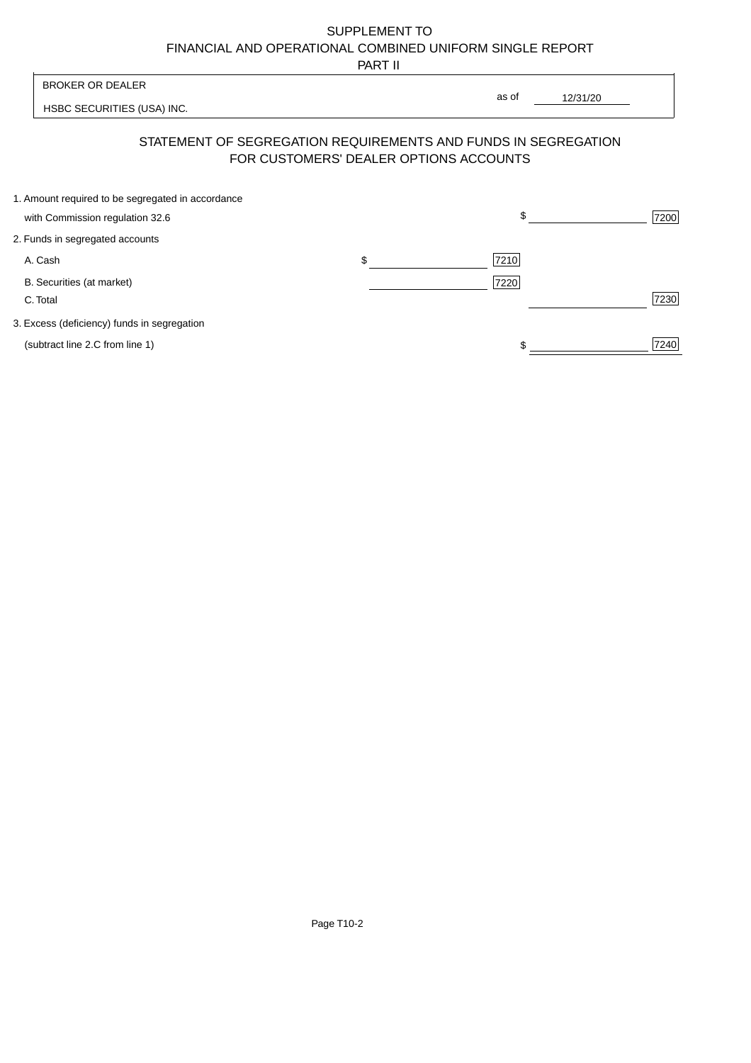PART II

 $\overline{\phantom{a}}$ 

| <b>BROKER OR DEALER</b>         |                                                                | as of                                  |          |      |
|---------------------------------|----------------------------------------------------------------|----------------------------------------|----------|------|
|                                 | HSBC SECURITIES (USA) INC.                                     |                                        | 12/31/20 |      |
|                                 | STATEMENT OF SEGREGATION REQUIREMENTS AND FUNDS IN SEGREGATION | FOR CUSTOMERS' DEALER OPTIONS ACCOUNTS |          |      |
|                                 | 1. Amount required to be segregated in accordance              | \$                                     |          |      |
| with Commission regulation 32.6 |                                                                |                                        |          | 7200 |
| 2. Funds in segregated accounts |                                                                |                                        |          |      |
| A. Cash                         |                                                                | \$<br>7210                             |          |      |
| B. Securities (at market)       |                                                                | 7220                                   |          |      |
| C. Total                        |                                                                |                                        |          | 7230 |
|                                 | 3. Excess (deficiency) funds in segregation                    |                                        |          |      |
| (subtract line 2.C from line 1) |                                                                |                                        |          | 7240 |
|                                 |                                                                |                                        |          |      |

ŀ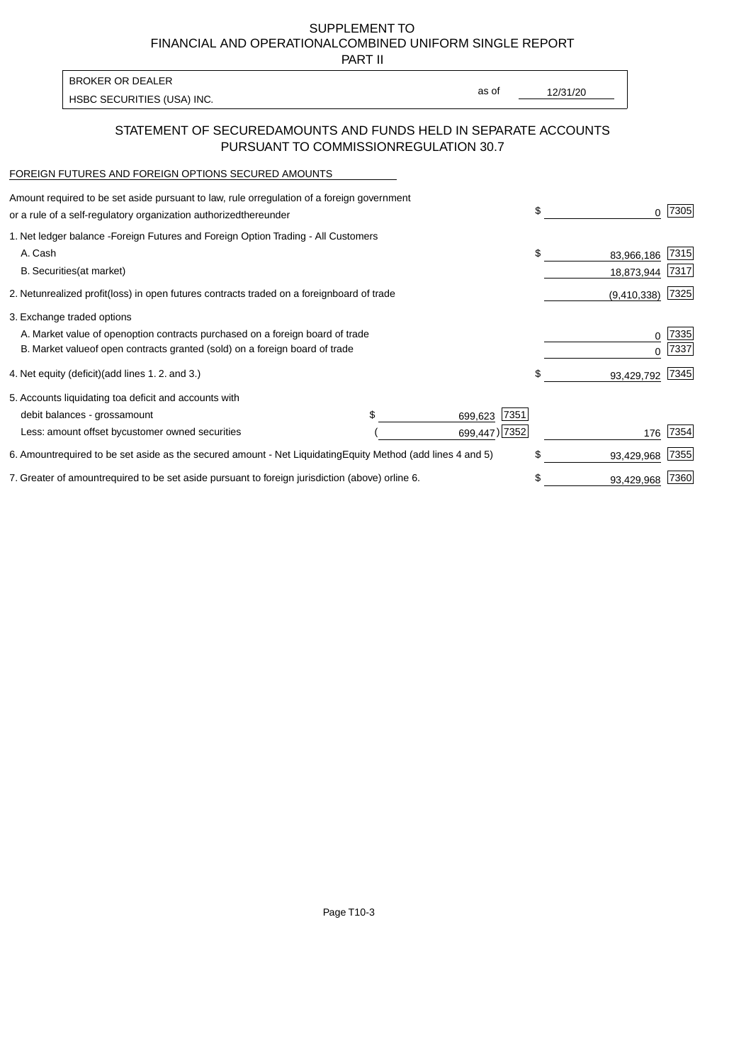PART II

HSBC SECURITIES (USA) INC. The state of the second second in the second second second in the second second second second second second second second second second second second second second second second second second sec BROKER OR DEALER

as of

## STATEMENT OF SECURED AMOUNTS AND FUNDS HELD IN SEPARATE ACCOUNTS PURSUANT TO COMMISSION REGULATION 30.7

#### FOREIGN FUTURES AND FOREIGN OPTIONS SECURED AMOUNTS

| Amount required to be set aside pursuant to law, rule or<br>regulation of a foreign government<br>or a rule of a self-regulatory organization authorized<br>thereunder                       | \$<br>O.                       | 7305         |
|----------------------------------------------------------------------------------------------------------------------------------------------------------------------------------------------|--------------------------------|--------------|
| 1. Net ledger balance - Foreign Futures and Foreign Option Trading - All Customers<br>A. Cash<br><b>B.</b> Securities<br>(at market)                                                         | \$<br>83,966,186<br>18,873,944 | 7315<br>7317 |
| 2. Net unrealized profit (loss) in open futures contracts traded on a foreign<br>board of trade                                                                                              | (9,410,338)                    | 7325         |
| 3. Exchange traded options<br>A. Market value of open option contracts purchased on a foreign board of trade<br>B. Market value of open contracts granted (sold) on a foreign board of trade | 0<br><sup>0</sup>              | 7335<br>7337 |
| 4. Net equity (deficit) (add lines 1.2. and 3.)                                                                                                                                              | \$<br>93,429,792               | 7345         |
| 5. Accounts liquidating to a deficit and accounts with<br>\$.<br>7351<br>debit balances - gross<br>amount<br>699,623<br>699,447) 7352<br>Less: amount offset by customer owned securities    | 176                            | 7354         |
| 6. Amount required to be set aside as the secured amount - Net Liquidating<br>Equity Method (add lines 4 and 5)                                                                              | \$<br>93,429,968               | 7355         |
| 7. Greater of amount required to be set aside pursuant to foreign jurisdiction (above) or<br>line 6.                                                                                         | \$<br>93,429,968               | 7360         |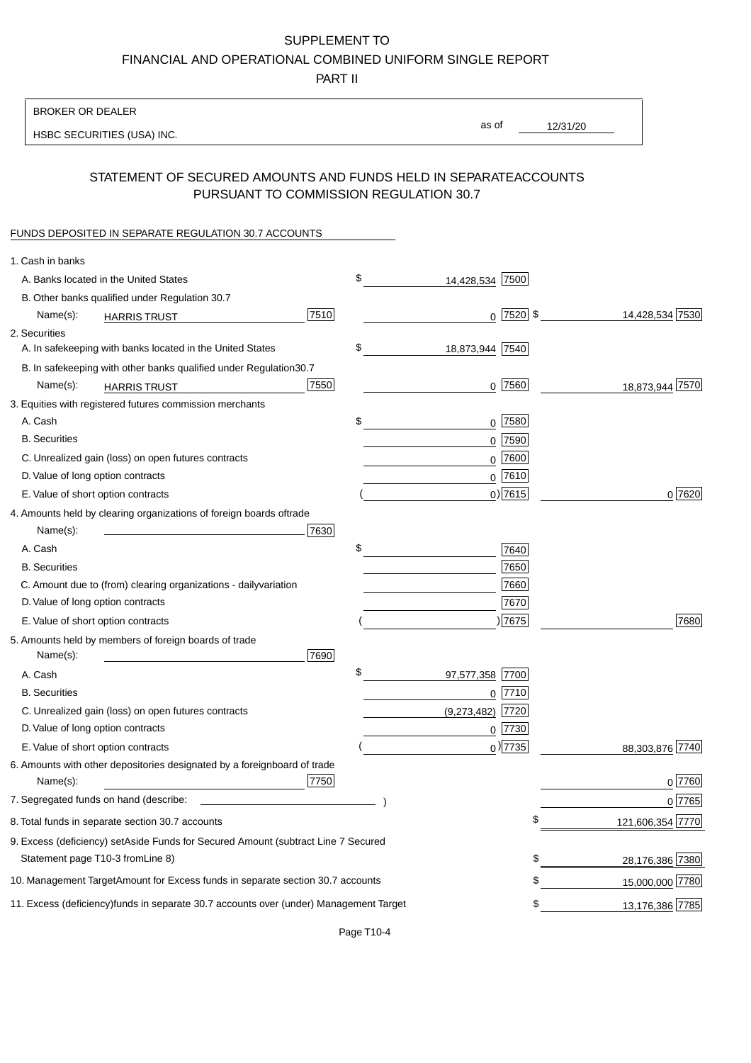PART II

| <b>BROKER OR DEALER</b>                                                                           |                       |             |                 |                  |
|---------------------------------------------------------------------------------------------------|-----------------------|-------------|-----------------|------------------|
| HSBC SECURITIES (USA) INC.                                                                        | as of                 |             | 12/31/20        |                  |
|                                                                                                   |                       |             |                 |                  |
| STATEMENT OF SECURED AMOUNTS AND FUNDS HELD IN SEPARATE<br>PURSUANT TO COMMISSION REGULATION 30.7 |                       |             | <b>ACCOUNTS</b> |                  |
| FUNDS DEPOSITED IN SEPARATE REGULATION 30.7 ACCOUNTS                                              |                       |             |                 |                  |
| 1. Cash in banks                                                                                  |                       |             |                 |                  |
| A. Banks located in the United States                                                             | \$<br>14,428,534 7500 |             |                 |                  |
| B. Other banks qualified under Regulation 30.7                                                    |                       |             |                 |                  |
| 7510<br>Name(s):<br><b>HARRIS TRUST</b>                                                           |                       | $0$ 7520 \$ |                 | 14,428,534 7530  |
| 2. Securities                                                                                     |                       |             |                 |                  |
| A. In safekeeping with banks located in the United States                                         | \$<br>18,873,944 7540 |             |                 |                  |
| B. In safekeeping with other banks qualified under Regulation<br>30.7                             |                       |             |                 |                  |
| 7550<br>Name(s):<br><b>HARRIS TRUST</b>                                                           |                       | $0$ 7560    |                 | 18,873,944 7570  |
| 3. Equities with registered futures commission merchants                                          |                       |             |                 |                  |
| A. Cash                                                                                           | \$                    | $0$ 7580    |                 |                  |
| <b>B.</b> Securities                                                                              |                       | $0$ 7590    |                 |                  |
| C. Unrealized gain (loss) on open futures contracts                                               |                       | $0$ 7600    |                 |                  |
| D. Value of long option contracts                                                                 |                       | $0$ 7610    |                 |                  |
| E. Value of short option contracts                                                                |                       | $0$ ) 7615  |                 | 0 7620           |
| 4. Amounts held by clearing organizations of foreign boards of<br>trade                           |                       |             |                 |                  |
| Name(s):<br>7630                                                                                  |                       |             |                 |                  |
| A. Cash                                                                                           | \$                    | 7640        |                 |                  |
| <b>B.</b> Securities                                                                              |                       | 7650        |                 |                  |
| C. Amount due to (from) clearing organizations - daily<br>variation                               |                       | 7660        |                 |                  |
| D. Value of long option contracts                                                                 |                       | 7670        |                 |                  |
| E. Value of short option contracts                                                                |                       | )7675       |                 | 7680             |
| 5. Amounts held by members of foreign boards of trade<br>Name(s):<br>7690                         |                       |             |                 |                  |
| A. Cash                                                                                           | \$<br>97,577,358 7700 |             |                 |                  |
| <b>B.</b> Securities                                                                              |                       | 0 7710      |                 |                  |
| C. Unrealized gain (loss) on open futures contracts                                               | $(9,273,482)$ 7720    |             |                 |                  |
| D. Value of long option contracts                                                                 |                       | $0$  7730   |                 |                  |
| E. Value of short option contracts                                                                |                       | $_0$ ) 7735 |                 | 88,303,876 7740  |
| 6. Amounts with other depositories designated by a foreign<br>board of trade<br>7750<br>Name(s):  |                       |             |                 | 0 7760           |
| 7. Segregated funds on hand (describe:                                                            |                       |             |                 | 0 7765           |
| 8. Total funds in separate section 30.7 accounts                                                  |                       | \$          |                 | 121,606,354 7770 |
| 9. Excess (deficiency) set Aside Funds for Secured Amount (subtract Line 7 Secured                |                       |             |                 |                  |
| Statement page T10-3 from Line 8)                                                                 |                       | \$          |                 | 28,176,386 7380  |
| 10. Management Target Amount for Excess funds in separate section 30.7 accounts                   |                       | \$          |                 | 15,000,000 7780  |
|                                                                                                   |                       |             |                 |                  |
| 11. Excess (deficiency) funds in separate 30.7 accounts over (under) Management Target            |                       | \$          |                 | 13,176,386 7785  |

Page T10-4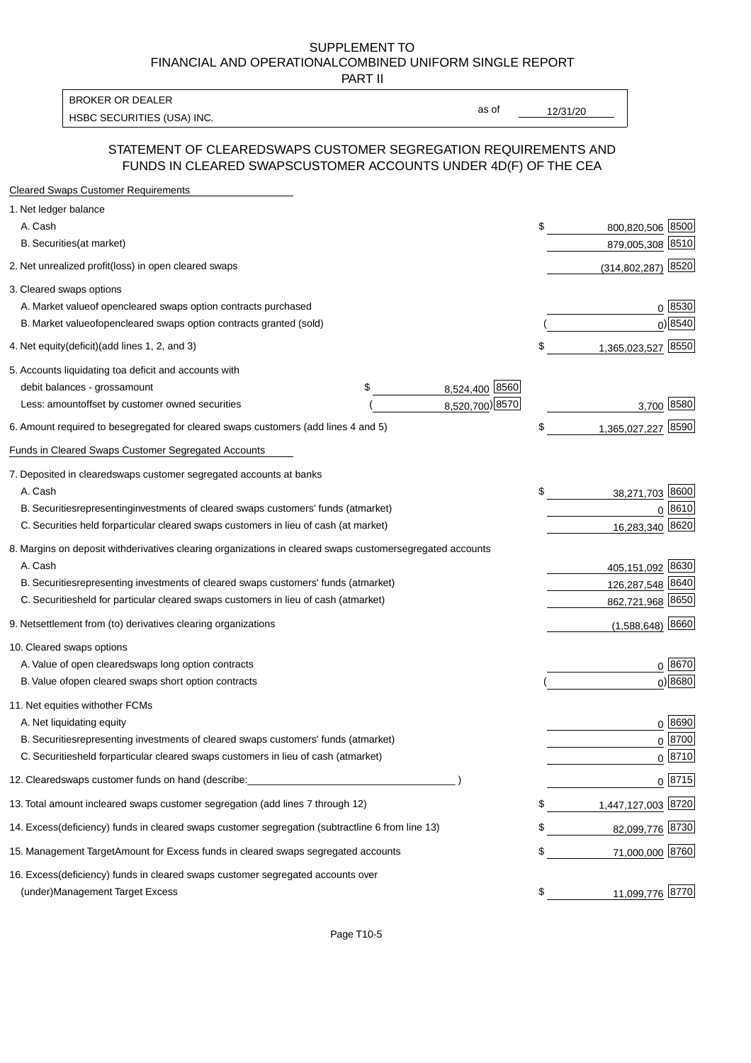PART II

HSBC SECURITIES (USA) INC. The state of the state of the state of the state of the state of the state of the state of the state of the state of the state of the state of the state of the state of the state of the state of BROKER OR DEALER

as of

### STATEMENT OF CLEARED SWAPS CUSTOMER SEGREGATION REQUIREMENTS AND FUNDS IN CLEARED SWAPS CUSTOMER ACCOUNTS UNDER 4D(F) OF THE CEA

| <b>Cleared Swaps Customer Requirements</b>                                                                  |    |                      |
|-------------------------------------------------------------------------------------------------------------|----|----------------------|
| 1. Net ledger balance                                                                                       |    |                      |
| A. Cash                                                                                                     | \$ | 800,820,506 8500     |
| B. Securities (at market)                                                                                   |    | 879,005,308 8510     |
| 2. Net unrealized profit (loss) in open cleared swaps                                                       |    | $(314,802,287)$ 8520 |
| 3. Cleared swaps options                                                                                    |    |                      |
| A. Market value of open cleared swaps option contracts purchased                                            |    | 0   8530             |
| B. Market value of open cleared swaps option contracts granted (sold)                                       |    | $0)$ 8540            |
| 4. Net equity (deficit) (add lines 1, 2, and 3)                                                             | \$ | 1,365,023,527 8550   |
| 5. Accounts liquidating to a deficit and accounts with                                                      |    |                      |
| 8,524,400 8560<br>debit balances - gross amount<br>\$                                                       |    |                      |
| 8,520,700) 8570<br>Less: amount offset by customer owned securities                                         |    | 3,700 8580           |
| 6. Amount required to be segregated for cleared swaps customers (add lines 4 and 5)                         | \$ | 1,365,027,227 8590   |
| Funds in Cleared Swaps Customer Segregated Accounts                                                         |    |                      |
| 7. Deposited in cleared swaps customer segregated accounts at banks                                         |    |                      |
| A. Cash                                                                                                     | \$ | 38,271,703 8600      |
| B. Securities representing investments of cleared swaps customers' funds (at market)                        |    | 0 8610               |
| C. Securities held for particular cleared swaps customers in lieu of cash (at market)                       |    | 16,283,340 8620      |
| 8. Margins on deposit with derivatives clearing organizations in cleared swaps customer segregated accounts |    |                      |
| A. Cash                                                                                                     |    | 405,151,092 8630     |
| B. Securities representing investments of cleared swaps customers' funds (at market)                        |    | 126,287,548 8640     |
| C. Securities<br>held for particular cleared swaps customers in lieu of cash (at market)                    |    | 862,721,968 8650     |
| 9. Net settlement from (to) derivatives clearing organizations                                              |    | $(1,588,648)$ 8660   |
| 10. Cleared swaps options                                                                                   |    |                      |
| A. Value of open cleared swaps long option contracts                                                        |    | $0^{8670}$           |
| B. Value of open cleared swaps short option contracts                                                       |    | $0$ ) 8680           |
| 11. Net equities with other FCMs                                                                            |    |                      |
| A. Net liquidating equity                                                                                   |    | $0^{8690}$           |
| B. Securities representing investments of cleared swaps customers' funds (at market)                        |    | $0 \frac{8700}{ }$   |
| C. Securities held for particular cleared swaps customers in lieu of cash (at market)                       |    | 0 8710               |
| 12. Cleared swaps customer funds on hand (describe:                                                         |    | $0 \;  8715 $        |
| 13. Total amount in cleared swaps customer segregation (add lines 7 through 12)                             | S  | 1,447,127,003 8720   |
| 14. Excess (deficiency) funds in cleared swaps customer segregation (subtract line 6 from line 13)          |    | 82,099,776 8730      |
| 15. Management Target Amount for Excess funds in cleared swaps segregated accounts                          | \$ | 71,000,000 8760      |
| 16. Excess<br>(deficiency) funds in cleared swaps customer segregated accounts over                         |    |                      |
| <b>Management Target Excess</b><br>(under)                                                                  | \$ | 11,099,776 8770      |